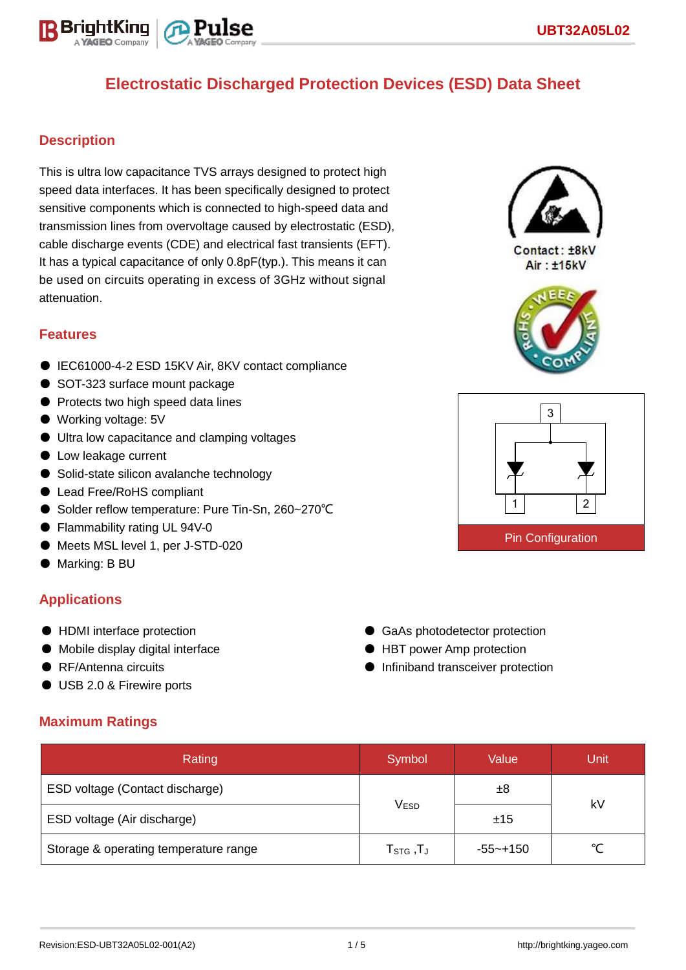

# **Electrostatic Discharged Protection Devices (ESD) Data Sheet**

### **Description**

This is ultra low capacitance TVS arrays designed to protect high speed data interfaces. It has been specifically designed to protect sensitive components which is connected to high-speed data and transmission lines from overvoltage caused by electrostatic (ESD), cable discharge events (CDE) and electrical fast transients (EFT). It has a typical capacitance of only 0.8pF(typ.). This means it can be used on circuits operating in excess of 3GHz without signal attenuation.

### **Features**

- IEC61000-4-2 ESD 15KV Air, 8KV contact compliance
- SOT-323 surface mount package
- Protects two high speed data lines
- Working voltage: 5V
- Ultra low capacitance and clamping voltages
- Low leakage current
- Solid-state silicon avalanche technology
- Lead Free/RoHS compliant
- Solder reflow temperature: Pure Tin-Sn, 260~270°C
- Flammability rating UL 94V-0
- Meets MSL level 1, per J-STD-020
- Marking: B BU

### **Applications**

- HDMI interface protection
- Mobile display digital interface
- RF/Antenna circuits
- USB 2.0 & Firewire ports

### **Maximum Ratings**

| Rating                                | Symbol                          | Value        | /Unit |  |  |
|---------------------------------------|---------------------------------|--------------|-------|--|--|
| ESD voltage (Contact discharge)       |                                 | ±8           |       |  |  |
| ESD voltage (Air discharge)           | <b>VESD</b>                     | ±15          | kV    |  |  |
| Storage & operating temperature range | $\mathsf{T}_{\texttt{STG}}$ ,TJ | $-55 - +150$ | ∘∕    |  |  |



 $Context: + RkV$ Air: ±15kV





● GaAs photodetector protection ● HBT power Amp protection ● Infiniband transceiver protection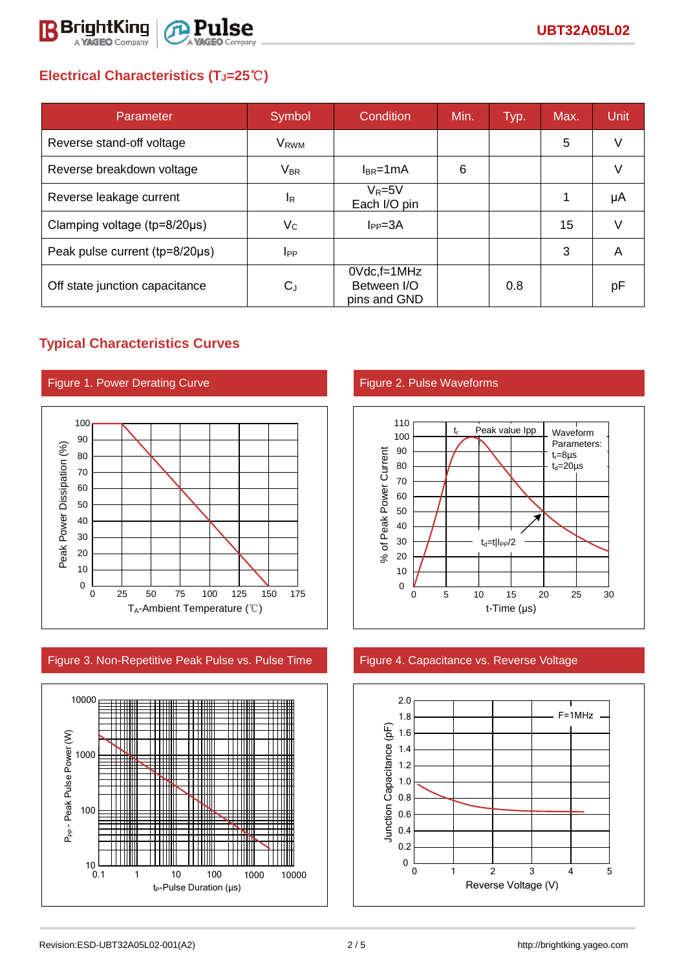

# **Electrical Characteristics (TJ=25**℃**)**

| Parameter                      | Symbol                 | Condition                                         | Min. | Typ. | Max. | <b>Unit</b> |
|--------------------------------|------------------------|---------------------------------------------------|------|------|------|-------------|
| Reverse stand-off voltage      | V <sub>RWM</sub>       |                                                   |      |      | 5    |             |
| Reverse breakdown voltage      | <b>VBR</b>             | $I_{BR}$ =1mA                                     | 6    |      |      |             |
| Reverse leakage current        | <sup>I</sup> R         | $V_R = 5V$<br>Each I/O pin                        |      |      |      | μA          |
| Clamping voltage (tp=8/20µs)   | $V_C$                  | $I_{PP} = 3A$                                     |      |      | 15   |             |
| Peak pulse current (tp=8/20µs) | <b>I</b> <sub>PP</sub> |                                                   |      |      | 3    | A           |
| Off state junction capacitance | $C_{J}$                | $0Vdc$ , f=1 $MHz$<br>Between I/O<br>pins and GND |      | 0.8  |      | рF          |

## **Typical Characteristics Curves**



Figure 3. Non-Repetitive Peak Pulse vs. Pulse Time Figure 4. Capacitance vs. Reverse Voltage





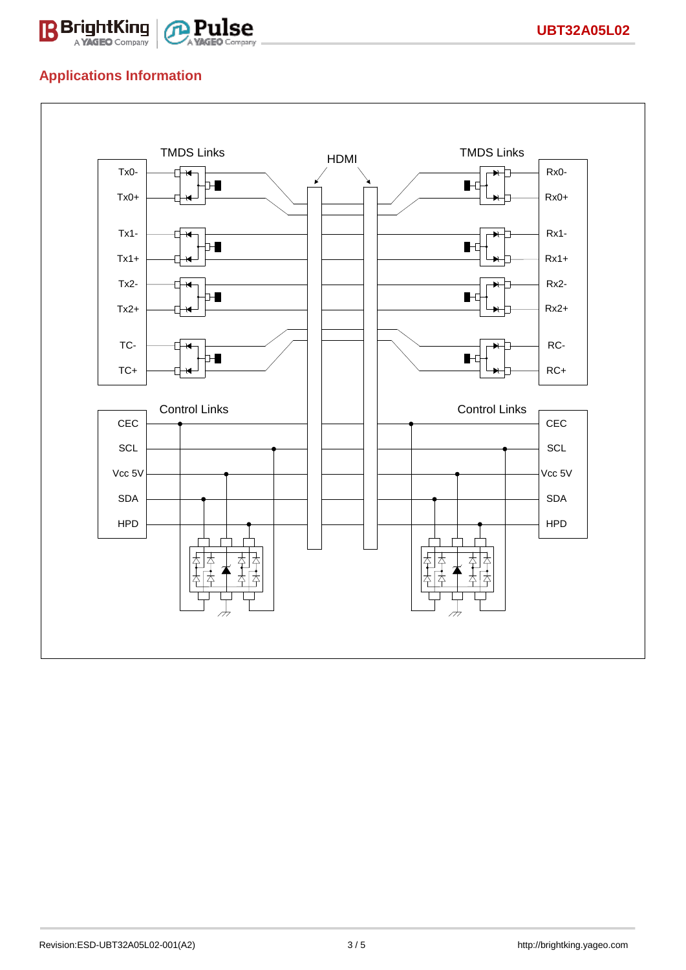

## **Applications Information**

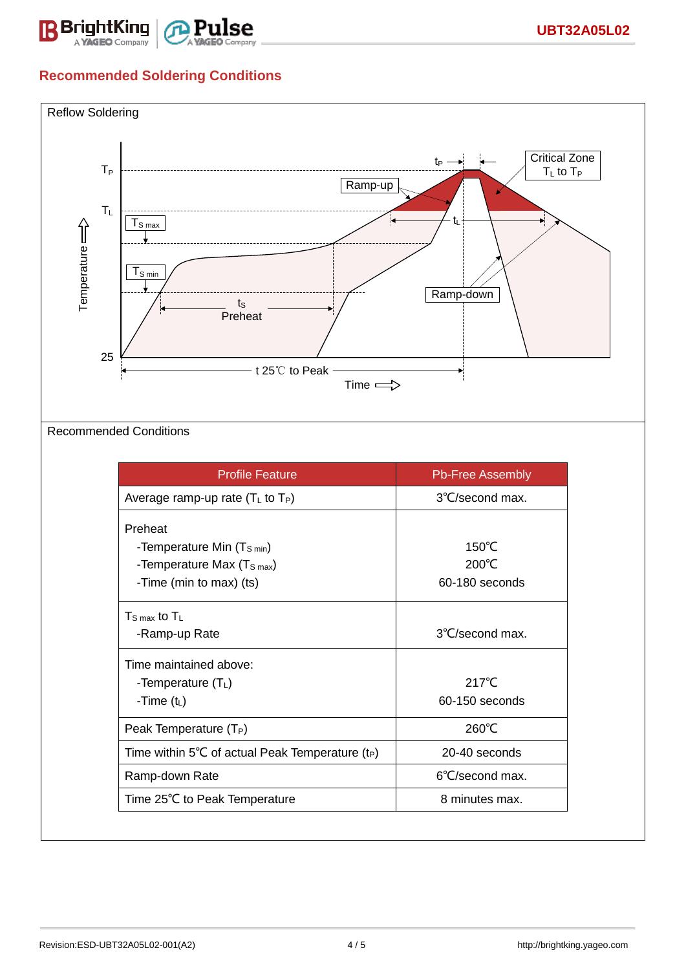

## **Recommended Soldering Conditions**